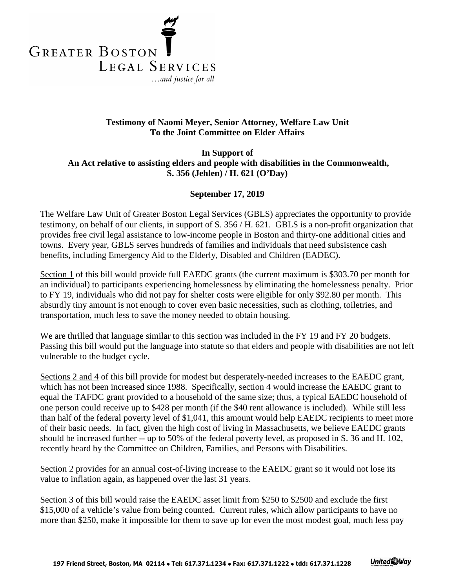

## **Testimony of Naomi Meyer, Senior Attorney, Welfare Law Unit To the Joint Committee on Elder Affairs**

**In Support of An Act relative to assisting elders and people with disabilities in the Commonwealth, S. 356 (Jehlen) / H. 621 (O'Day)**

## **September 17, 2019**

The Welfare Law Unit of Greater Boston Legal Services (GBLS) appreciates the opportunity to provide testimony, on behalf of our clients, in support of S. 356 / H. 621. GBLS is a non-profit organization that provides free civil legal assistance to low-income people in Boston and thirty-one additional cities and towns. Every year, GBLS serves hundreds of families and individuals that need subsistence cash benefits, including Emergency Aid to the Elderly, Disabled and Children (EADEC).

Section 1 of this bill would provide full EAEDC grants (the current maximum is \$303.70 per month for an individual) to participants experiencing homelessness by eliminating the homelessness penalty. Prior to FY 19, individuals who did not pay for shelter costs were eligible for only \$92.80 per month. This absurdly tiny amount is not enough to cover even basic necessities, such as clothing, toiletries, and transportation, much less to save the money needed to obtain housing.

We are thrilled that language similar to this section was included in the FY 19 and FY 20 budgets. Passing this bill would put the language into statute so that elders and people with disabilities are not left vulnerable to the budget cycle.

Sections 2 and 4 of this bill provide for modest but desperately-needed increases to the EAEDC grant, which has not been increased since 1988. Specifically, section 4 would increase the EAEDC grant to equal the TAFDC grant provided to a household of the same size; thus, a typical EAEDC household of one person could receive up to \$428 per month (if the \$40 rent allowance is included). While still less than half of the federal poverty level of \$1,041, this amount would help EAEDC recipients to meet more of their basic needs. In fact, given the high cost of living in Massachusetts, we believe EAEDC grants should be increased further -- up to 50% of the federal poverty level, as proposed in S. 36 and H. 102, recently heard by the Committee on Children, Families, and Persons with Disabilities.

Section 2 provides for an annual cost-of-living increase to the EAEDC grant so it would not lose its value to inflation again, as happened over the last 31 years.

Section 3 of this bill would raise the EAEDC asset limit from \$250 to \$2500 and exclude the first \$15,000 of a vehicle's value from being counted. Current rules, which allow participants to have no more than \$250, make it impossible for them to save up for even the most modest goal, much less pay